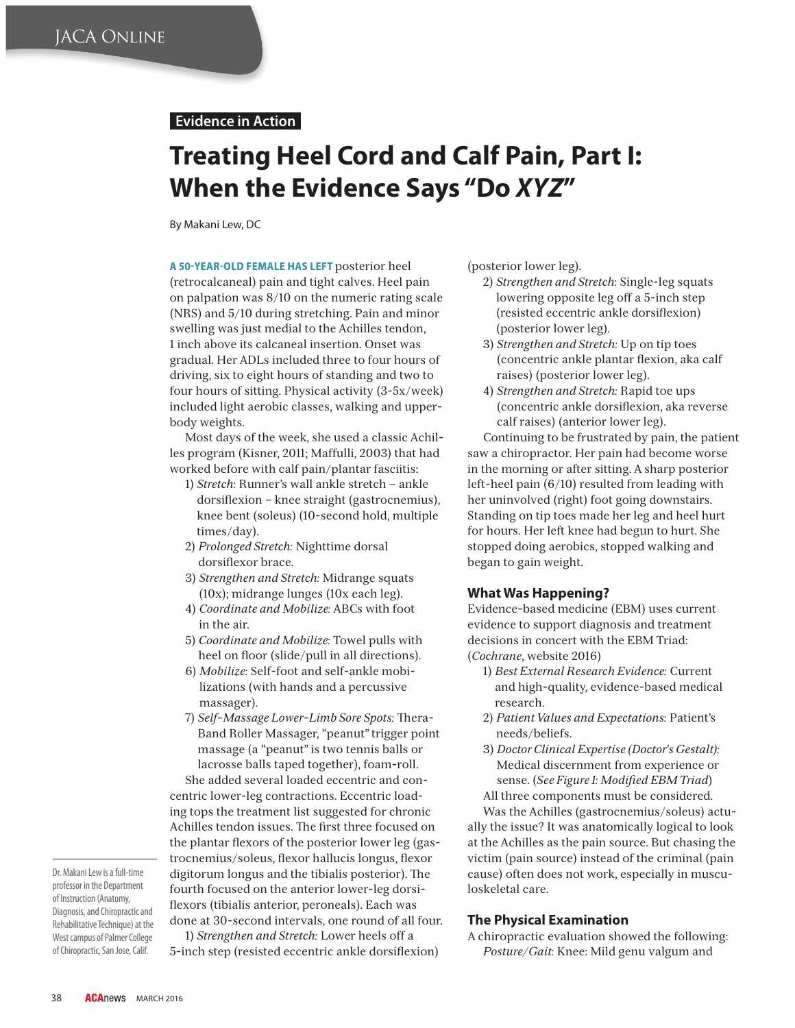## **Evidence in Action**

# **Treating Heel Cord and Calf Pain, Part I: When the Evidence Says "Do** *XYZ***"**

By Makani Lew, DC

A 50-YEAR-OLD FEMALE HAS LEFT posterior heel (retrocalcaneal) pain and tight calves. Heel pain on palpation was 8/10 on the numeric rating scale (NRS) and 5/10 during stretching. Pain and minor swelling was just medial to the Achilles tendon, 1 inch above its calcaneal insertion. Onset was gradual. Her ADLs included three to four hours of driving, six to eight hours of standing and two to four hours of sitting. Physical activity (3-5x/week) included light aerobic classes, walking and upperbody weights.

Most days of the week, she used a classic Achilles program (Kisner, 2011; Maffulli, 2003) that had worked before with calf pain/plantar fasciitis:

- 1) *Stretch:* Runner's wall ankle stretch ankle dorsiflexion – knee straight (gastrocnemius), knee bent (soleus) (10-second hold, multiple times/day).
- 2) *Prolonged Stretch:* Nighttime dorsal dorsiflexor brace.
- 3) *Strengthen and Stretch:* Midrange squats (10x); midrange lunges (10x each leg).
- 4) *Coordinate and Mobilize:* ABCs with foot in the air.
- 5) *Coordinate and Mobilize:* Towel pulls with heel on floor (slide/pull in all directions).
- 6) *Mobilize:* Self-foot and self-ankle mobilizations (with hands and a percussive massager).
- 7) *Self-Massage Lower-Limb Sore Spots:* Thera-Band Roller Massager, "peanut" trigger point massage (a "peanut" is two tennis balls or lacrosse balls taped together), foam-roll.

She added several loaded eccentric and concentric lower-leg contractions. Eccentric loading tops the treatment list suggested for chronic Achilles tendon issues. The first three focused on the plantar flexors of the posterior lower leg (gastrocnemius/soleus, flexor hallucis longus, flexor digitorum longus and the tibialis posterior). The fourth focused on the anterior lower-leg dorsiflexors (tibialis anterior, peroneals). Each was done at 30-second intervals, one round of all four.

professor in the Department of Instruction (Anatomy, Diagnosis, and Chiropractic and Rehabilitative Technique) at the West campus of Palmer College of Chiropractic, San Jose, Calif.

Dr. Makani Lew is a full-time

1) *Strengthen and Stretch:* Lower heels off a

5-inch step (resisted eccentric ankle dorsiflexion)

(posterior lower leg).

- 2) *Strengthen and Stretch:* Single-leg squats lowering opposite leg off a 5-inch step (resisted eccentric ankle dorsiflexion) (posterior lower leg).
- 3) *Strengthen and Stretch:* Up on tip toes (concentric ankle plantar flexion, aka calf raises) (posterior lower leg).
- 4) *Strengthen and Stretch:* Rapid toe ups (concentric ankle dorsiflexion, aka reverse calf raises) (anterior lower leg).

Continuing to be frustrated by pain, the patient saw a chiropractor. Her pain had become worse in the morning or after sitting. A sharp posterior left-heel pain (6/10) resulted from leading with her uninvolved (right) foot going downstairs. Standing on tip toes made her leg and heel hurt for hours. Her left knee had begun to hurt. She stopped doing aerobics, stopped walking and began to gain weight.

#### **What Was Happening?**

Evidence-based medicine (EBM) uses current evidence to support diagnosis and treatment decisions in concert with the EBM Triad: (*Cochrane*, website 2016)

- 1) *Best External Research Evidence:* Current and high-quality, evidence-based medical research.
- 2) *Patient Values and Expectations:* Patient's needs/beliefs.
- 3) *Doctor Clinical Expertise (Doctor's Gestalt):* Medical discernment from experience or sense. (*See Figure 1: Modified EBM Triad*) All three components must be considered.

Was the Achilles (gastrocnemius/soleus) actually the issue? It was anatomically logical to look at the Achilles as the pain source. But chasing the victim (pain source) instead of the criminal (pain cause) often does not work, especially in musculoskeletal care.

### **The Physical Examination**

A chiropractic evaluation showed the following: *Posture/Gait:* Knee: Mild genu valgum and